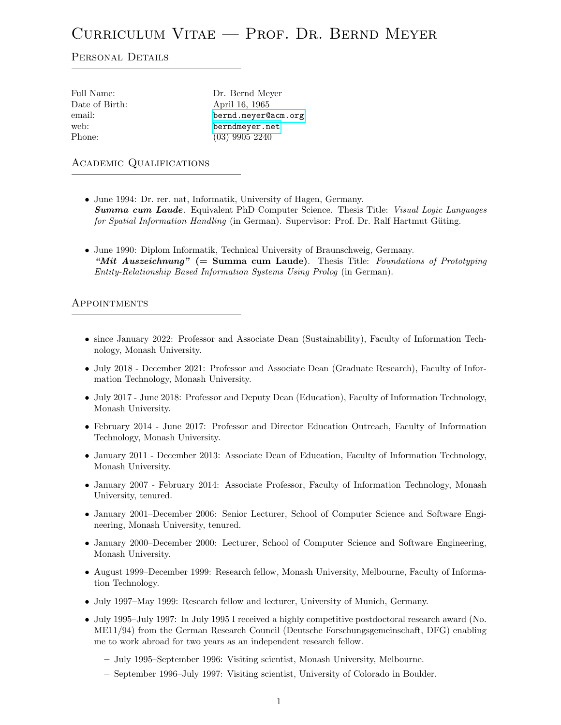# Curriculum Vitae — Prof. Dr. Bernd Meyer

## PERSONAL DETAILS

| Full Name:     | Dr. Bernd Meyer     |
|----------------|---------------------|
| Date of Birth: | April 16, 1965      |
| email:         | bernd.meyer@acm.org |
| web:           | berndmeyer.net      |
| Phone:         | $(03)$ 9905 2240    |
|                |                     |

## Academic Qualifications

- June 1994: Dr. rer. nat, Informatik, University of Hagen, Germany. **Summa cum Laude.** Equivalent PhD Computer Science. Thesis Title: Visual Logic Languages for Spatial Information Handling (in German). Supervisor: Prof. Dr. Ralf Hartmut Güting.
- June 1990: Diplom Informatik, Technical University of Braunschweig, Germany. "Mit Auszeichnung" (= Summa cum Laude). Thesis Title: Foundations of Prototyping Entity-Relationship Based Information Systems Using Prolog (in German).

#### Appointments

- since January 2022: Professor and Associate Dean (Sustainability), Faculty of Information Technology, Monash University.
- July 2018 December 2021: Professor and Associate Dean (Graduate Research), Faculty of Information Technology, Monash University.
- July 2017 June 2018: Professor and Deputy Dean (Education), Faculty of Information Technology, Monash University.
- February 2014 June 2017: Professor and Director Education Outreach, Faculty of Information Technology, Monash University.
- January 2011 December 2013: Associate Dean of Education, Faculty of Information Technology, Monash University.
- January 2007 February 2014: Associate Professor, Faculty of Information Technology, Monash University, tenured.
- January 2001–December 2006: Senior Lecturer, School of Computer Science and Software Engineering, Monash University, tenured.
- January 2000–December 2000: Lecturer, School of Computer Science and Software Engineering, Monash University.
- August 1999–December 1999: Research fellow, Monash University, Melbourne, Faculty of Information Technology.
- July 1997–May 1999: Research fellow and lecturer, University of Munich, Germany.
- July 1995–July 1997: In July 1995 I received a highly competitive postdoctoral research award (No. ME11/94) from the German Research Council (Deutsche Forschungsgemeinschaft, DFG) enabling me to work abroad for two years as an independent research fellow.
	- July 1995–September 1996: Visiting scientist, Monash University, Melbourne.
	- September 1996–July 1997: Visiting scientist, University of Colorado in Boulder.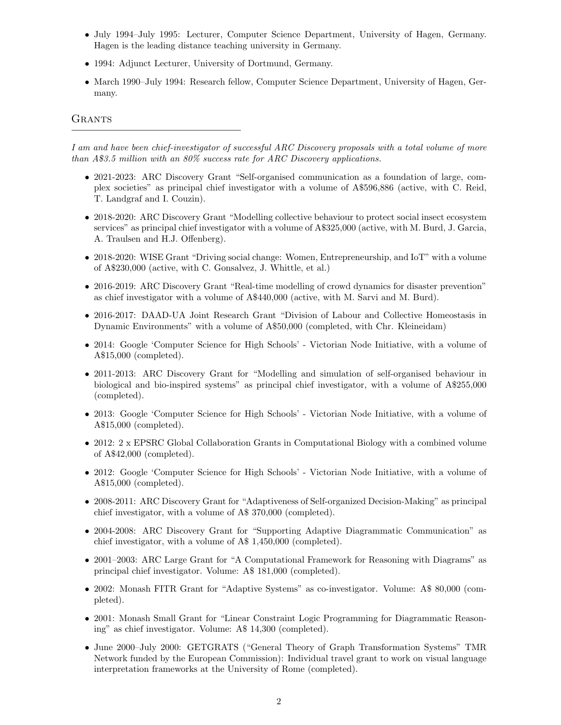- July 1994–July 1995: Lecturer, Computer Science Department, University of Hagen, Germany. Hagen is the leading distance teaching university in Germany.
- 1994: Adjunct Lecturer, University of Dortmund, Germany.
- March 1990–July 1994: Research fellow, Computer Science Department, University of Hagen, Germany.

## **GRANTS**

I am and have been chief-investigator of successful ARC Discovery proposals with a total volume of more than A\$3.5 million with an 80% success rate for ARC Discovery applications.

- 2021-2023: ARC Discovery Grant "Self-organised communication as a foundation of large, complex societies" as principal chief investigator with a volume of A\$596,886 (active, with C. Reid, T. Landgraf and I. Couzin).
- 2018-2020: ARC Discovery Grant "Modelling collective behaviour to protect social insect ecosystem services" as principal chief investigator with a volume of A\$325,000 (active, with M. Burd, J. Garcia, A. Traulsen and H.J. Offenberg).
- 2018-2020: WISE Grant "Driving social change: Women, Entrepreneurship, and IoT" with a volume of A\$230,000 (active, with C. Gonsalvez, J. Whittle, et al.)
- 2016-2019: ARC Discovery Grant "Real-time modelling of crowd dynamics for disaster prevention" as chief investigator with a volume of A\$440,000 (active, with M. Sarvi and M. Burd).
- 2016-2017: DAAD-UA Joint Research Grant "Division of Labour and Collective Homeostasis in Dynamic Environments" with a volume of A\$50,000 (completed, with Chr. Kleineidam)
- 2014: Google 'Computer Science for High Schools' Victorian Node Initiative, with a volume of A\$15,000 (completed).
- 2011-2013: ARC Discovery Grant for "Modelling and simulation of self-organised behaviour in biological and bio-inspired systems" as principal chief investigator, with a volume of A\$255,000 (completed).
- 2013: Google 'Computer Science for High Schools' Victorian Node Initiative, with a volume of A\$15,000 (completed).
- 2012: 2 x EPSRC Global Collaboration Grants in Computational Biology with a combined volume of A\$42,000 (completed).
- 2012: Google 'Computer Science for High Schools' Victorian Node Initiative, with a volume of A\$15,000 (completed).
- 2008-2011: ARC Discovery Grant for "Adaptiveness of Self-organized Decision-Making" as principal chief investigator, with a volume of A\$ 370,000 (completed).
- 2004-2008: ARC Discovery Grant for "Supporting Adaptive Diagrammatic Communication" as chief investigator, with a volume of A\$ 1,450,000 (completed).
- 2001–2003: ARC Large Grant for "A Computational Framework for Reasoning with Diagrams" as principal chief investigator. Volume: A\$ 181,000 (completed).
- 2002: Monash FITR Grant for "Adaptive Systems" as co-investigator. Volume: A\$ 80,000 (completed).
- 2001: Monash Small Grant for "Linear Constraint Logic Programming for Diagrammatic Reasoning" as chief investigator. Volume: A\$ 14,300 (completed).
- June 2000–July 2000: GETGRATS ("General Theory of Graph Transformation Systems" TMR Network funded by the European Commission): Individual travel grant to work on visual language interpretation frameworks at the University of Rome (completed).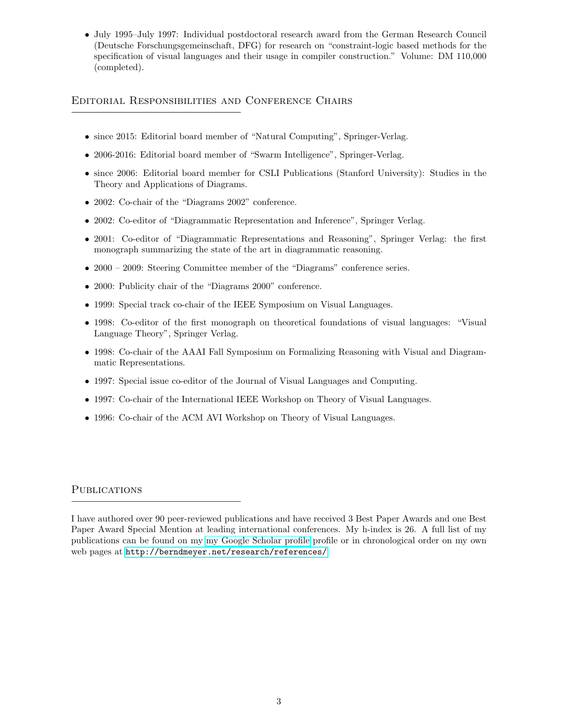• July 1995–July 1997: Individual postdoctoral research award from the German Research Council (Deutsche Forschungsgemeinschaft, DFG) for research on "constraint-logic based methods for the specification of visual languages and their usage in compiler construction." Volume: DM 110,000 (completed).

# Editorial Responsibilities and Conference Chairs

- since 2015: Editorial board member of "Natural Computing", Springer-Verlag.
- 2006-2016: Editorial board member of "Swarm Intelligence", Springer-Verlag.
- since 2006: Editorial board member for CSLI Publications (Stanford University): Studies in the Theory and Applications of Diagrams.
- 2002: Co-chair of the "Diagrams 2002" conference.
- 2002: Co-editor of "Diagrammatic Representation and Inference", Springer Verlag.
- 2001: Co-editor of "Diagrammatic Representations and Reasoning", Springer Verlag: the first monograph summarizing the state of the art in diagrammatic reasoning.
- 2000 2009: Steering Committee member of the "Diagrams" conference series.
- 2000: Publicity chair of the "Diagrams 2000" conference.
- 1999: Special track co-chair of the IEEE Symposium on Visual Languages.
- 1998: Co-editor of the first monograph on theoretical foundations of visual languages: "Visual Language Theory", Springer Verlag.
- 1998: Co-chair of the AAAI Fall Symposium on Formalizing Reasoning with Visual and Diagrammatic Representations.
- 1997: Special issue co-editor of the Journal of Visual Languages and Computing.
- 1997: Co-chair of the International IEEE Workshop on Theory of Visual Languages.
- 1996: Co-chair of the ACM AVI Workshop on Theory of Visual Languages.

## **PUBLICATIONS**

I have authored over 90 peer-reviewed publications and have received 3 Best Paper Awards and one Best Paper Award Special Mention at leading international conferences. My h-index is 26. A full list of my publications can be found on my [my Google Scholar profile](http://scholar.google.com.au/citations?user=9rl-K3IAAAAJ&hl=en) profile or in chronological order on my own web pages at <http://berndmeyer.net/research/references/>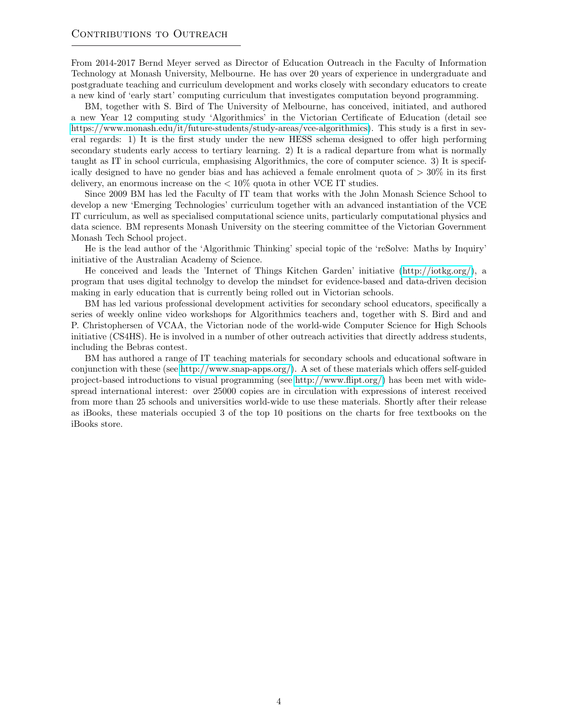From 2014-2017 Bernd Meyer served as Director of Education Outreach in the Faculty of Information Technology at Monash University, Melbourne. He has over 20 years of experience in undergraduate and postgraduate teaching and curriculum development and works closely with secondary educators to create a new kind of 'early start' computing curriculum that investigates computation beyond programming.

BM, together with S. Bird of The University of Melbourne, has conceived, initiated, and authored a new Year 12 computing study 'Algorithmics' in the Victorian Certificate of Education (detail see [https://www.monash.edu/it/future-students/study-areas/vce-algorithmics\)](https://www.monash.edu/it/future-students/study-areas/vce-algorithmics). This study is a first in several regards: 1) It is the first study under the new HESS schema designed to offer high performing secondary students early access to tertiary learning. 2) It is a radical departure from what is normally taught as IT in school curricula, emphasising Algorithmics, the core of computer science. 3) It is specifically designed to have no gender bias and has achieved a female enrolment quota of  $>30\%$  in its first delivery, an enormous increase on the  $\rm < 10\%$  quota in other VCE IT studies.

Since 2009 BM has led the Faculty of IT team that works with the John Monash Science School to develop a new 'Emerging Technologies' curriculum together with an advanced instantiation of the VCE IT curriculum, as well as specialised computational science units, particularly computational physics and data science. BM represents Monash University on the steering committee of the Victorian Government Monash Tech School project.

He is the lead author of the 'Algorithmic Thinking' special topic of the 'reSolve: Maths by Inquiry' initiative of the Australian Academy of Science.

He conceived and leads the 'Internet of Things Kitchen Garden' initiative [\(http://iotkg.org/\)](http://iotkg.org/), a program that uses digital technolgy to develop the mindset for evidence-based and data-driven decision making in early education that is currently being rolled out in Victorian schools.

BM has led various professional development activities for secondary school educators, specifically a series of weekly online video workshops for Algorithmics teachers and, together with S. Bird and and P. Christophersen of VCAA, the Victorian node of the world-wide Computer Science for High Schools initiative (CS4HS). He is involved in a number of other outreach activities that directly address students, including the Bebras contest.

BM has authored a range of IT teaching materials for secondary schools and educational software in conjunction with these (see [http://www.snap-apps.org/\)](http://www.snap-apps.org/). A set of these materials which offers self-guided project-based introductions to visual programming (see [http://www.flipt.org/\)](http://www.flipt.org/) has been met with widespread international interest: over 25000 copies are in circulation with expressions of interest received from more than 25 schools and universities world-wide to use these materials. Shortly after their release as iBooks, these materials occupied 3 of the top 10 positions on the charts for free textbooks on the iBooks store.